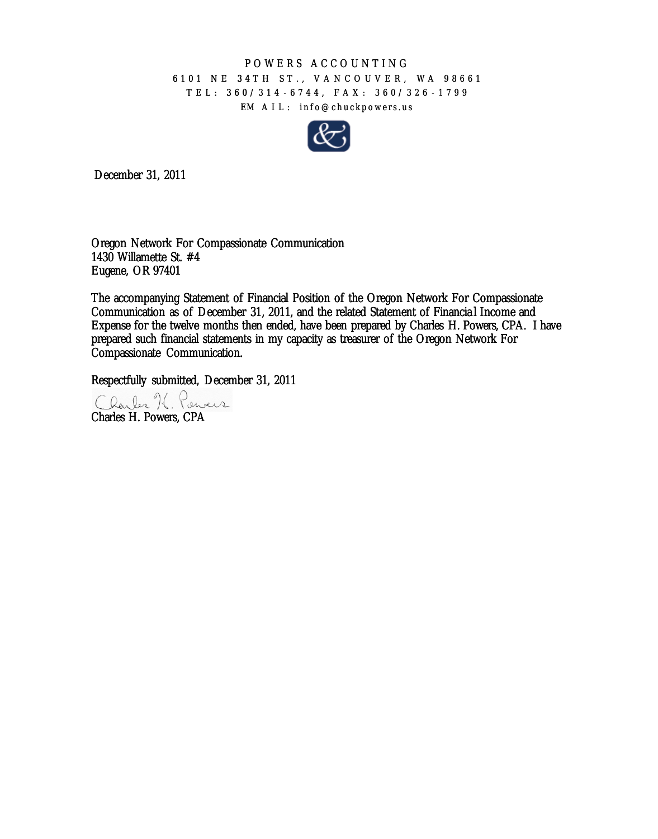## POWERS ACCOUNTING 6101 NE 34TH ST., VANCOUVER, WA 98661 TEL: 360/314 - 6744, FAX: 360/326 - 1799 EM AIL: info@chuckpowers.us



December 31, 2011

Oregon Network For Compassionate Communication 1430 Willamette St. #4 Eugene, OR 97401

The accompanying Statement of Financial Position of the Oregon Network For Compassionate Communication as of December 31, 2011, and the related Statement of Financia l Income and Oregon Network For Compassionate Communication<br>1430 Willamette St. #4<br>Eugene, OR 97401<br>The accompanying Statement of Financial Position of the Oregon Network For Compassionate<br>Communication as of December 31, 2011, and the prepared such financial statements in my capacity as treasurer of the Oregon Network For Compassionate Communication. 6101 NE 34TH ST., VANCOUVER, WA 98<br>
TEL: 360/314 - 6744, FAX: 360/326 - 17<br>
EM ALL: info@chuckpowers.us<br>
Der 31, 2011<br>
Der 31, 2011<br>
Network For Compassionate Communication<br>
Illamette St. #4<br>
OR 97401<br>
Ompanying Statement

Respectfully submitted, December 31, 2011

Charles H. Powers, CPA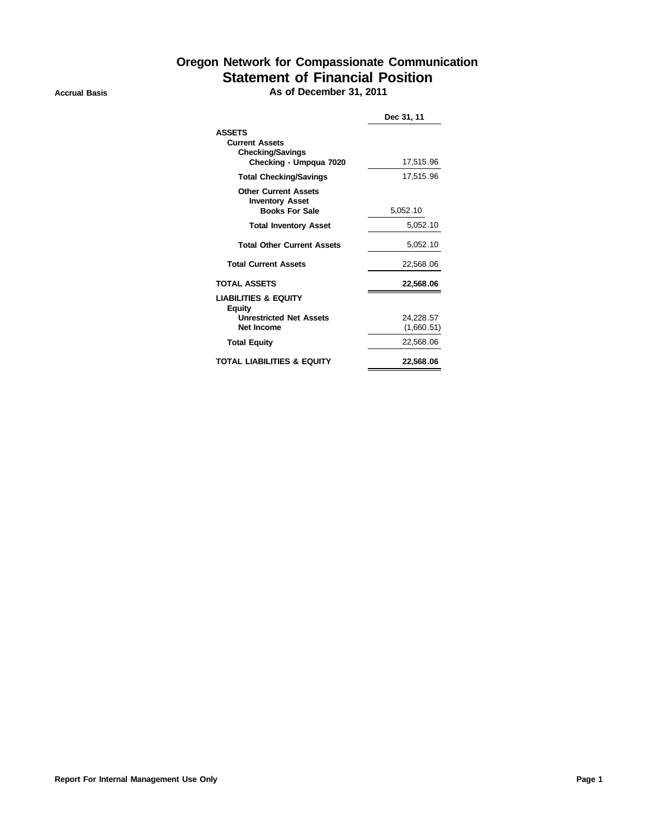## **Oregon Network for Compassionate Communication Statement of Financial Position**

**Accrual Basis As of December 31, 2011**

|                                                                                                  | Dec 31, 11              |  |  |
|--------------------------------------------------------------------------------------------------|-------------------------|--|--|
| <b>ASSETS</b><br><b>Current Assets</b><br><b>Checking/Savings</b><br>Checking - Umpqua 7020      | 17,515.96               |  |  |
| <b>Total Checking/Savings</b>                                                                    | 17.515.96               |  |  |
| <b>Other Current Assets</b><br><b>Inventory Asset</b><br><b>Books For Sale</b>                   | 5.052.10                |  |  |
| <b>Total Inventory Asset</b>                                                                     | 5.052.10                |  |  |
| <b>Total Other Current Assets</b>                                                                | 5,052.10                |  |  |
| <b>Total Current Assets</b>                                                                      | 22.568.06               |  |  |
| <b>TOTAL ASSETS</b>                                                                              | 22,568.06               |  |  |
| <b>LIABILITIES &amp; EQUITY</b><br><b>Equity</b><br><b>Unrestricted Net Assets</b><br>Net Income | 24.228.57<br>(1,660.51) |  |  |
| <b>Total Equity</b>                                                                              | 22,568.06               |  |  |
| <b>TOTAL LIABILITIES &amp; EQUITY</b>                                                            | 22.568.06               |  |  |